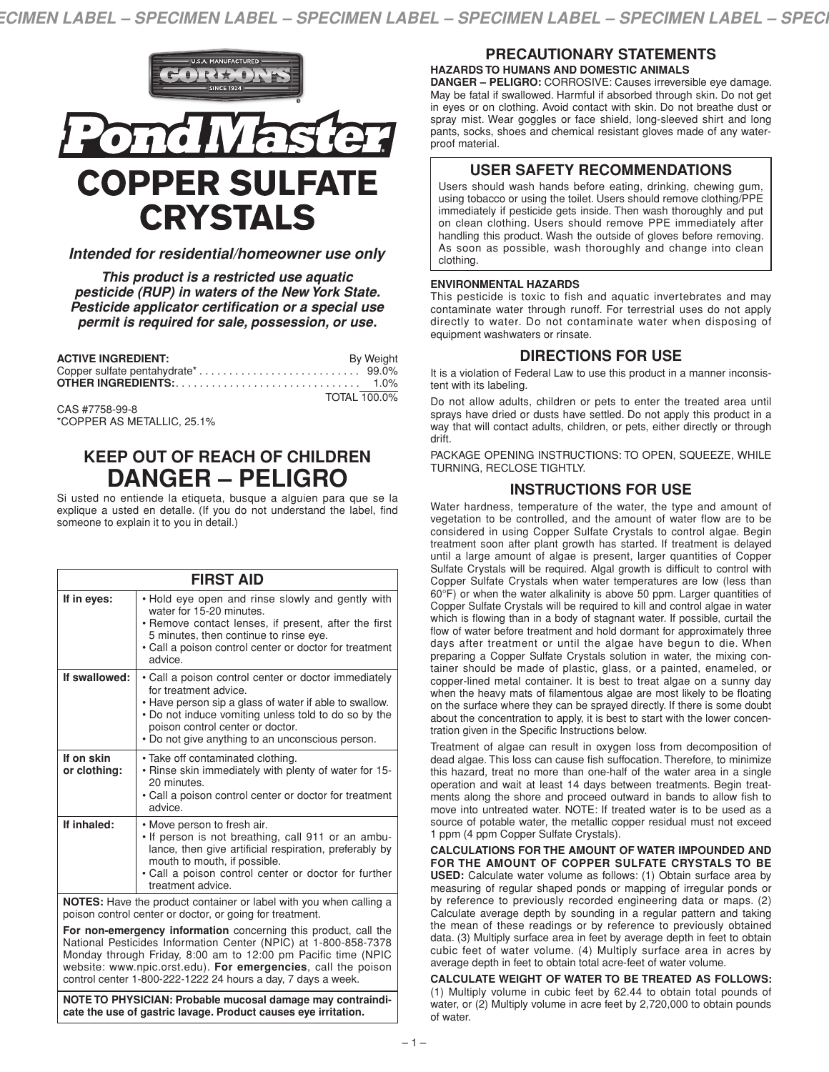

# *Intended for residential/homeowner use only*

*This product is a restricted use aquatic pesticide (RUP) in waters of the New York State. Pesticide applicator certification or a special use permit is required for sale, possession, or use.*

| <b>ACTIVE INGREDIENT:</b> | <b>By Weight</b> |
|---------------------------|------------------|
|                           |                  |
|                           |                  |
|                           | TOTAL 100.0%     |

CAS #7758-99-8 \*COPPER AS METALLIC, 25.1%

# **KEEP OUT OF REACH OF CHILDREN DANGER – PELIGRO**

Si usted no entiende la etiqueta, busque a alguien para que se la explique a usted en detalle. (If you do not understand the label, find someone to explain it to you in detail.)

| <b>FIRST AID</b>                                                                                                                      |                                                                                                                                                                                                                                                                                         |  |
|---------------------------------------------------------------------------------------------------------------------------------------|-----------------------------------------------------------------------------------------------------------------------------------------------------------------------------------------------------------------------------------------------------------------------------------------|--|
| If in eyes:                                                                                                                           | • Hold eye open and rinse slowly and gently with<br>water for 15-20 minutes.<br>• Remove contact lenses, if present, after the first<br>5 minutes, then continue to rinse eye.<br>• Call a poison control center or doctor for treatment<br>advice                                      |  |
| If swallowed:                                                                                                                         | • Call a poison control center or doctor immediately<br>for treatment advice.<br>• Have person sip a glass of water if able to swallow.<br>• Do not induce vomiting unless told to do so by the<br>poison control center or doctor.<br>. Do not give anything to an unconscious person. |  |
| If on skin<br>or clothing:                                                                                                            | · Take off contaminated clothing.<br>. Rinse skin immediately with plenty of water for 15-<br>20 minutes.<br>• Call a poison control center or doctor for treatment<br>advice.                                                                                                          |  |
| If inhaled:                                                                                                                           | • Move person to fresh air.<br>. If person is not breathing, call 911 or an ambu-<br>lance, then give artificial respiration, preferably by<br>mouth to mouth, if possible.<br>• Call a poison control center or doctor for further<br>treatment advice.                                |  |
| <b>NOTES:</b> Have the product container or label with you when calling a<br>poison control center or doctor, or going for treatment. |                                                                                                                                                                                                                                                                                         |  |

**For non-emergency information** concerning this product, call the National Pesticides Information Center (NPIC) at 1-800-858-7378 Monday through Friday, 8:00 am to 12:00 pm Pacific time (NPIC website: www.npic.orst.edu). **For emergencies**, call the poison control center 1-800-222-1222 24 hours a day, 7 days a week.

**NOTE TO PHYSICIAN: Probable mucosal damage may contraindicate the use of gastric lavage. Product causes eye irritation.**

## **PRECAUTIONARY STATEMENTS HAZARDS TO HUMANS AND DOMESTIC ANIMALS**

**DANGER – PELIGRO:** CORROSIVE: Causes irreversible eye damage. May be fatal if swallowed. Harmful if absorbed through skin. Do not get in eyes or on clothing. Avoid contact with skin. Do not breathe dust or spray mist. Wear goggles or face shield, long-sleeved shirt and long pants, socks, shoes and chemical resistant gloves made of any waterproof material.

## **USER SAFETY RECOMMENDATIONS**

Users should wash hands before eating, drinking, chewing gum, using tobacco or using the toilet. Users should remove clothing/PPE immediately if pesticide gets inside. Then wash thoroughly and put on clean clothing. Users should remove PPE immediately after handling this product. Wash the outside of gloves before removing. As soon as possible, wash thoroughly and change into clean clothing.

#### **ENVIRONMENTAL HAZARDS**

This pesticide is toxic to fish and aquatic invertebrates and may contaminate water through runoff. For terrestrial uses do not apply directly to water. Do not contaminate water when disposing of equipment washwaters or rinsate.

## **DIRECTIONS FOR USE**

It is a violation of Federal Law to use this product in a manner inconsistent with its labeling.

Do not allow adults, children or pets to enter the treated area until sprays have dried or dusts have settled. Do not apply this product in a way that will contact adults, children, or pets, either directly or through drift.

PACKAGE OPENING INSTRUCTIONS: TO OPEN, SQUEEZE, WHILE TURNING, RECLOSE TIGHTLY.

# **INSTRUCTIONS FOR USE**

Water hardness, temperature of the water, the type and amount of vegetation to be controlled, and the amount of water flow are to be considered in using Copper Sulfate Crystals to control algae. Begin treatment soon after plant growth has started. If treatment is delayed until a large amount of algae is present, larger quantities of Copper Sulfate Crystals will be required. Algal growth is difficult to control with Copper Sulfate Crystals when water temperatures are low (less than 60°F) or when the water alkalinity is above 50 ppm. Larger quantities of Copper Sulfate Crystals will be required to kill and control algae in water which is flowing than in a body of stagnant water. If possible, curtail the flow of water before treatment and hold dormant for approximately three days after treatment or until the algae have begun to die. When preparing a Copper Sulfate Crystals solution in water, the mixing container should be made of plastic, glass, or a painted, enameled, or copper-lined metal container. It is best to treat algae on a sunny day when the heavy mats of filamentous algae are most likely to be floating on the surface where they can be sprayed directly. If there is some doubt about the concentration to apply, it is best to start with the lower concentration given in the Specific Instructions below.

Treatment of algae can result in oxygen loss from decomposition of dead algae. This loss can cause fish suffocation. Therefore, to minimize this hazard, treat no more than one-half of the water area in a single operation and wait at least 14 days between treatments. Begin treatments along the shore and proceed outward in bands to allow fish to move into untreated water. NOTE: If treated water is to be used as a source of potable water, the metallic copper residual must not exceed 1 ppm (4 ppm Copper Sulfate Crystals).

**CALCULATIONS FOR THE AMOUNT OF WATER IMPOUNDED AND FOR THE AMOUNT OF COPPER SULFATE CRYSTALS TO BE USED:** Calculate water volume as follows: (1) Obtain surface area by measuring of regular shaped ponds or mapping of irregular ponds or by reference to previously recorded engineering data or maps. (2) Calculate average depth by sounding in a regular pattern and taking the mean of these readings or by reference to previously obtained data. (3) Multiply surface area in feet by average depth in feet to obtain cubic feet of water volume. (4) Multiply surface area in acres by average depth in feet to obtain total acre-feet of water volume.

**CALCULATE WEIGHT OF WATER TO BE TREATED AS FOLLOWS:** (1) Multiply volume in cubic feet by 62.44 to obtain total pounds of water, or (2) Multiply volume in acre feet by 2,720,000 to obtain pounds of water.